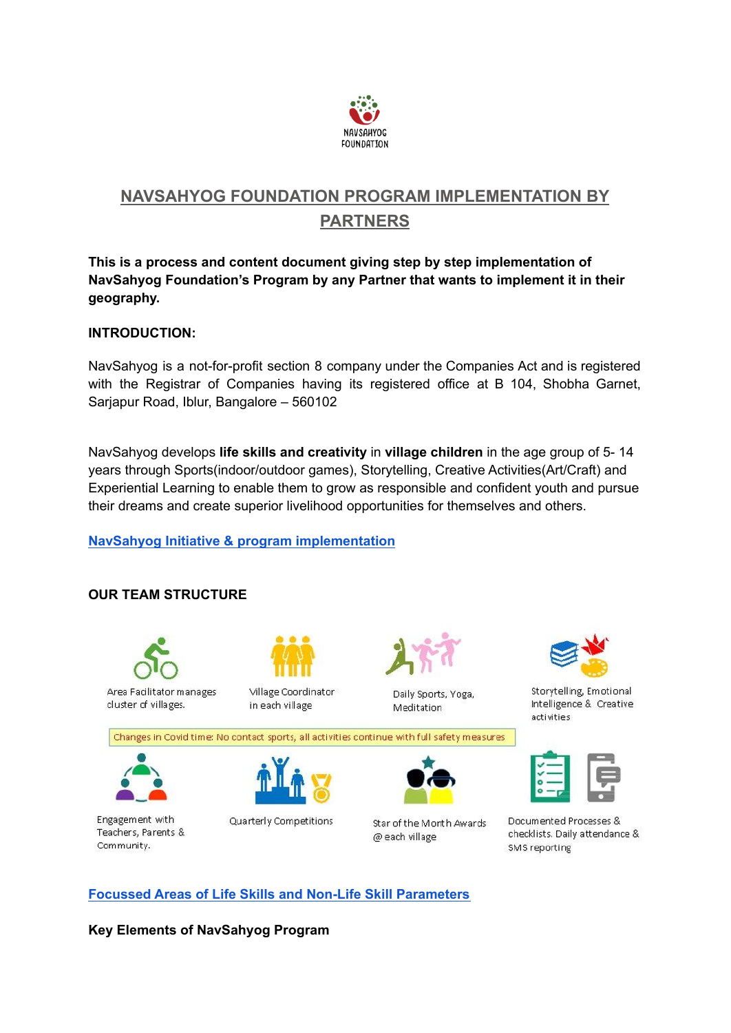

# **NAVSAHYOG FOUNDATION PROGRAM IMPLEMENTATION BY PARTNERS**

**This is a process and content document giving step by step implementation of NavSahyog Foundation's Program by any Partner that wants to implement it in their geography.**

## **INTRODUCTION:**

NavSahyog is a not-for-profit section 8 company under the Companies Act and is registered with the Registrar of Companies having its registered office at B 104. Shobha Garnet, Sarjapur Road, Iblur, Bangalore – 560102

NavSahyog develops **life skills and creativity** in **village children** in the age group of 5- 14 years through Sports(indoor/outdoor games), Storytelling, Creative Activities(Art/Craft) and Experiential Learning to enable them to grow as responsible and confident youth and pursue their dreams and create superior livelihood opportunities for themselves and others.

## **NavSahyog Initiative & program [implementation](https://docs.google.com/document/d/1gscuaGuXA4L8SBbEfR5JicM72pvsCLxM/edit?usp=sharing&ouid=105682685491832883883&rtpof=true&sd=true)**

# **OUR TEAM STRUCTURE**



**Focussed Areas of Life Skills and Non-Life Skill [Parameters](https://docs.google.com/document/d/1Hbyr3fCOiKW_Weryx_Ciag2JoWtRK-J_/edit?usp=sharing&ouid=105682685491832883883&rtpof=true&sd=true)**

**Key Elements of NavSahyog Program**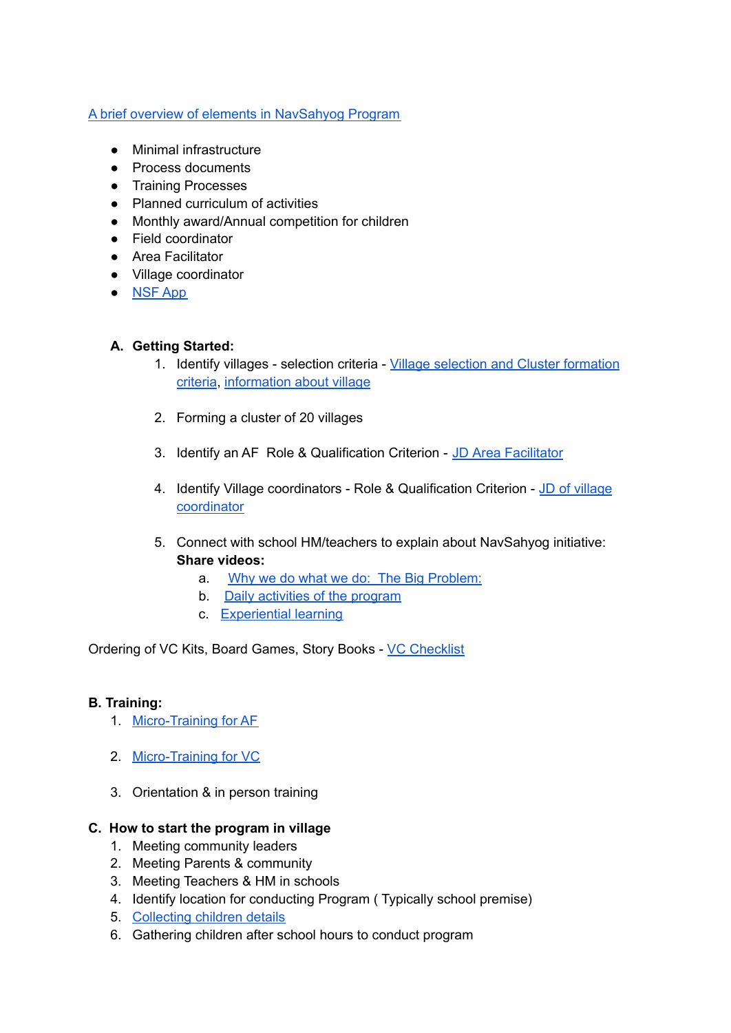#### A brief overview of elements in [NavSahyog](https://docs.google.com/document/d/1Tv2WK8mBzswbj9W6I87BgNeuZzh9rVx-/edit?usp=sharing&ouid=105682685491832883883&rtpof=true&sd=true) Program

- Minimal infrastructure
- Process documents
- Training Processes
- Planned curriculum of activities
- Monthly award/Annual competition for children
- Field coordinator
- Area Facilitator
- Village coordinator
- [NSF](https://docs.google.com/document/d/18m3iIhTQcYrGahvttnQQhpYWNc_6ymA0/edit?usp=sharing&ouid=105682685491832883883&rtpof=true&sd=true) App

## **A. Getting Started:**

- 1. Identify villages selection criteria Village selection and Cluster [formation](https://docs.google.com/document/d/1ioRl6Ya17vLv9vYM9f6NCV1IOYwOgfV2/edit?usp=sharing&ouid=105682685491832883883&rtpof=true&sd=true) [criteria,](https://docs.google.com/document/d/1ioRl6Ya17vLv9vYM9f6NCV1IOYwOgfV2/edit?usp=sharing&ouid=105682685491832883883&rtpof=true&sd=true) [information](https://drive.google.com/file/d/1V-WoT5tC-ABXcdcvuSHJFVtzBJzb7OBV/view?usp=sharing) about village
- 2. Forming a cluster of 20 villages
- 3. Identify an AF Role & Qualification Criterion JD Area [Facilitator](https://docs.google.com/document/d/1BMDgsmVirq6oYyfO37TytqmAzuYL3gMO/edit)
- 4. Identify Village coordinators Role & Qualification Criterion JD of [village](https://drive.google.com/file/d/1umSHNOqn6WeP2-_LHZ8_JJxRCs1S-wEZ/view?usp=sharing) [coordinator](https://drive.google.com/file/d/1umSHNOqn6WeP2-_LHZ8_JJxRCs1S-wEZ/view?usp=sharing)
- 5. Connect with school HM/teachers to explain about NavSahyog initiative: **Share videos:**
	- a. Why we do what we do: The Big [Problem:](https://youtu.be/96uw3MPS37M)
	- b. Daily [activities](https://youtu.be/qTlORe6lYzA) of the program
	- c. [Experiential](https://youtu.be/LJgXp9YJxsY) learning

Ordering of VC Kits, Board Games, Story Books - VC [Checklist](https://docs.google.com/document/d/1fFwNp-3Y9cbbnZM65_hI08Vc6uCpoi_U/edit)

#### **B. Training:**

- 1. [Micro-Training](https://docs.google.com/document/d/1uqc39Fu75iv-ZLB172QMGavr5_IHwKDDzC7sfI3zzXk/edit?usp=sharing) for AE
- 2. [Micro-Training](https://docs.google.com/document/d/1TDw5VBVITnuH_6RyNfQz9Qbp2M-NEx7txMufksK2fg0/edit) for VC
- 3. Orientation & in person training

#### **C. How to start the program in village**

- 1. Meeting community leaders
- 2. Meeting Parents & community
- 3. Meeting Teachers & HM in schools
- 4. Identify location for conducting Program ( Typically school premise)
- 5. [Collecting](https://drive.google.com/file/d/1sX_w-eRVNqtKnTff6l0GpdMLQuJUMydL/view?usp=sharing) children details
- 6. Gathering children after school hours to conduct program